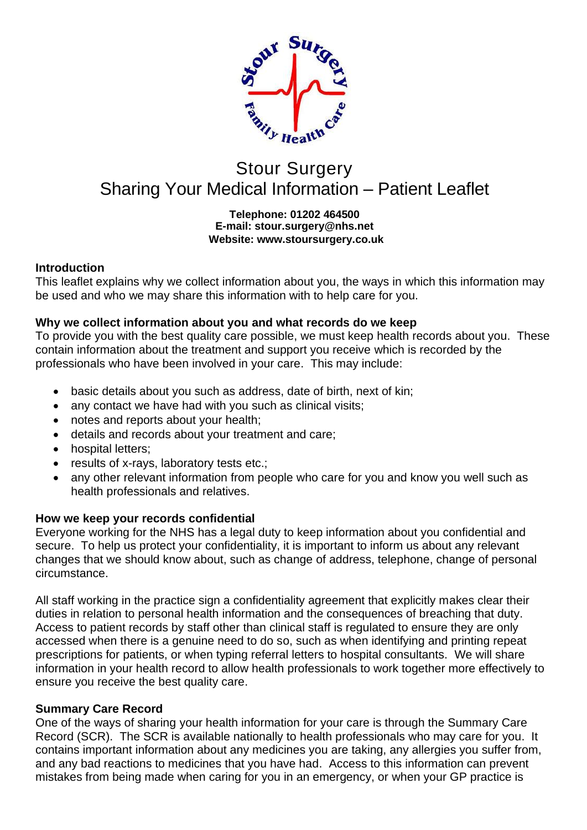

# Stour Surgery Sharing Your Medical Information – Patient Leaflet

### **Telephone: 01202 464500 E-mail: stour.surgery@nhs.net Website: www.stoursurgery.co.uk**

# **Introduction**

This leaflet explains why we collect information about you, the ways in which this information may be used and who we may share this information with to help care for you.

## **Why we collect information about you and what records do we keep**

To provide you with the best quality care possible, we must keep health records about you. These contain information about the treatment and support you receive which is recorded by the professionals who have been involved in your care. This may include:

- basic details about you such as address, date of birth, next of kin;
- any contact we have had with you such as clinical visits;
- notes and reports about your health;
- details and records about your treatment and care;
- hospital letters;
- results of x-rays, laboratory tests etc.;
- any other relevant information from people who care for you and know you well such as health professionals and relatives.

# **How we keep your records confidential**

Everyone working for the NHS has a legal duty to keep information about you confidential and secure. To help us protect your confidentiality, it is important to inform us about any relevant changes that we should know about, such as change of address, telephone, change of personal circumstance.

All staff working in the practice sign a confidentiality agreement that explicitly makes clear their duties in relation to personal health information and the consequences of breaching that duty. Access to patient records by staff other than clinical staff is regulated to ensure they are only accessed when there is a genuine need to do so, such as when identifying and printing repeat prescriptions for patients, or when typing referral letters to hospital consultants. We will share information in your health record to allow health professionals to work together more effectively to ensure you receive the best quality care.

## **Summary Care Record**

One of the ways of sharing your health information for your care is through the Summary Care Record (SCR). The SCR is available nationally to health professionals who may care for you. It contains important information about any medicines you are taking, any allergies you suffer from, and any bad reactions to medicines that you have had. Access to this information can prevent mistakes from being made when caring for you in an emergency, or when your GP practice is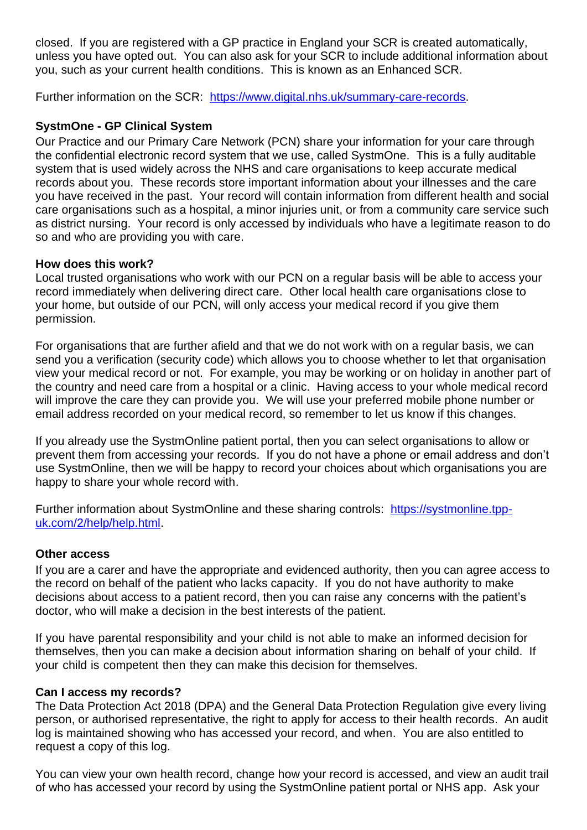closed. If you are registered with a GP practice in England your SCR is created automatically, unless you have opted out. You can also ask for your SCR to include additional information about you, such as your current health conditions. This is known as an Enhanced SCR.

Further information on the SCR: [https://www.digital.nhs.uk/summary-care-records.](https://www.digital.nhs.uk/summary-care-records)

## **SystmOne - GP Clinical System**

Our Practice and our Primary Care Network (PCN) share your information for your care through the confidential electronic record system that we use, called SystmOne. This is a fully auditable system that is used widely across the NHS and care organisations to keep accurate medical records about you. These records store important information about your illnesses and the care you have received in the past. Your record will contain information from different health and social care organisations such as a hospital, a minor injuries unit, or from a community care service such as district nursing. Your record is only accessed by individuals who have a legitimate reason to do so and who are providing you with care.

## **How does this work?**

Local trusted organisations who work with our PCN on a regular basis will be able to access your record immediately when delivering direct care. Other local health care organisations close to your home, but outside of our PCN, will only access your medical record if you give them permission.

For organisations that are further afield and that we do not work with on a regular basis, we can send you a verification (security code) which allows you to choose whether to let that organisation view your medical record or not. For example, you may be working or on holiday in another part of the country and need care from a hospital or a clinic. Having access to your whole medical record will improve the care they can provide you. We will use your preferred mobile phone number or email address recorded on your medical record, so remember to let us know if this changes.

If you already use the SystmOnline patient portal, then you can select organisations to allow or prevent them from accessing your records. If you do not have a phone or email address and don't use SystmOnline, then we will be happy to record your choices about which organisations you are happy to share your whole record with.

Further information about SystmOnline and these sharing controls: [https://systmonline.tpp](https://systmonline.tpp-uk.com/2/help/help.html)[uk.com/2/help/help.html.](https://systmonline.tpp-uk.com/2/help/help.html)

#### **Other access**

If you are a carer and have the appropriate and evidenced authority, then you can agree access to the record on behalf of the patient who lacks capacity. If you do not have authority to make decisions about access to a patient record, then you can raise any concerns with the patient's doctor, who will make a decision in the best interests of the patient.

If you have parental responsibility and your child is not able to make an informed decision for themselves, then you can make a decision about information sharing on behalf of your child. If your child is competent then they can make this decision for themselves.

#### **Can I access my records?**

The Data Protection Act 2018 (DPA) and the General Data Protection Regulation give every living person, or authorised representative, the right to apply for access to their health records. An audit log is maintained showing who has accessed your record, and when. You are also entitled to request a copy of this log.

You can view your own health record, change how your record is accessed, and view an audit trail of who has accessed your record by using the SystmOnline patient portal or NHS app. Ask your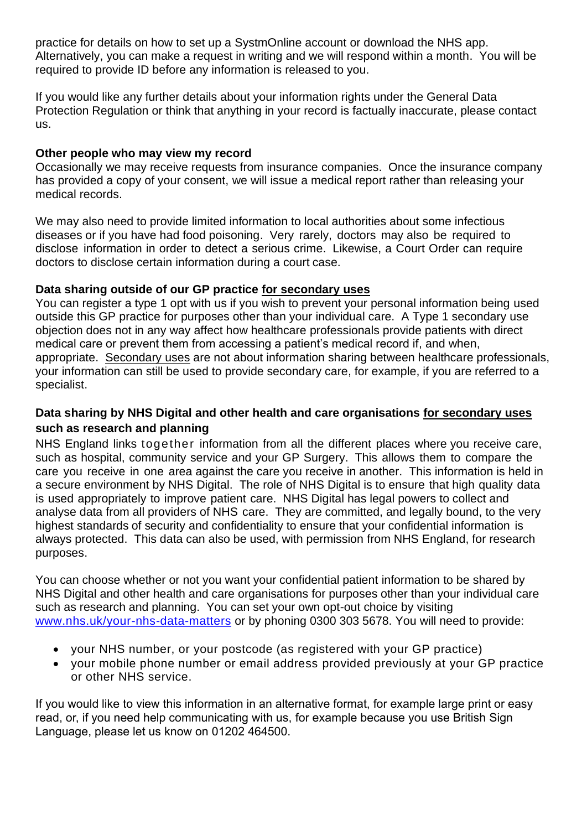practice for details on how to set up a SystmOnline account or download the NHS app. Alternatively, you can make a request in writing and we will respond within a month. You will be required to provide ID before any information is released to you.

If you would like any further details about your information rights under the General Data Protection Regulation or think that anything in your record is factually inaccurate, please contact us.

## **Other people who may view my record**

Occasionally we may receive requests from insurance companies. Once the insurance company has provided a copy of your consent, we will issue a medical report rather than releasing your medical records.

We may also need to provide limited information to local authorities about some infectious diseases or if you have had food poisoning. Very rarely, doctors may also be required to disclose information in order to detect a serious crime. Likewise, a Court Order can require doctors to disclose certain information during a court case.

## **Data sharing outside of our GP practice for secondary uses**

You can register a type 1 opt with us if you wish to prevent your personal information being used outside this GP practice for purposes other than your individual care. A Type 1 secondary use objection does not in any way affect how healthcare professionals provide patients with direct medical care or prevent them from accessing a patient's medical record if, and when, appropriate. Secondary uses are not about information sharing between healthcare professionals, your information can still be used to provide secondary care, for example, if you are referred to a specialist.

# **Data sharing by NHS Digital and other health and care organisations for secondary uses such as research and planning**

NHS England links together information from all the different places where you receive care, such as hospital, community service and your GP Surgery. This allows them to compare the care you receive in one area against the care you receive in another. This information is held in a secure environment by NHS Digital. The role of NHS Digital is to ensure that high quality data is used appropriately to improve patient care. NHS Digital has legal powers to collect and analyse data from all providers of NHS care. They are committed, and legally bound, to the very highest standards of security and confidentiality to ensure that your confidential information is always protected. This data can also be used, with permission from NHS England, for research purposes.

You can choose whether or not you want your confidential patient information to be shared by NHS Digital and other health and care organisations for purposes other than your individual care such as research and planning. You can set your own opt-out choice by visiting [www.nhs.uk/your-nhs-data-matters](http://www.nhs.uk/your-nhs-data-matters) or by phoning 0300 303 5678. You will need to provide:

- your NHS number, or your postcode (as registered with your GP practice)
- your mobile phone number or email address provided previously at your GP practice or other NHS service.

If you would like to view this information in an alternative format, for example large print or easy read, or, if you need help communicating with us, for example because you use British Sign Language, please let us know on 01202 464500.